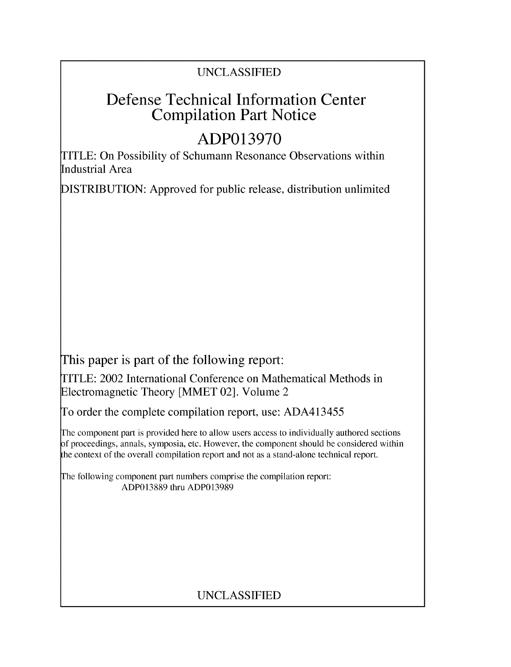### UNCLASSIFIED

## Defense Technical Information Center Compilation Part Notice

# **ADP013970**

TITLE: On Possibility of Schumann Resonance Observations within Industrial Area

DISTRIBUTION: Approved for public release, distribution unlimited

This paper is part of the following report:

TITLE: 2002 International Conference on Mathematical Methods in Electromagnetic Theory [MMET 02]. Volume 2

To order the complete compilation report, use: ADA413455

The component part is provided here to allow users access to individually authored sections f proceedings, annals, symposia, etc. However, the component should be considered within the context of the overall compilation report and not as a stand-alone technical report.

The following component part numbers comprise the compilation report: ADP013889 thru ADP013989

## UNCLASSIFIED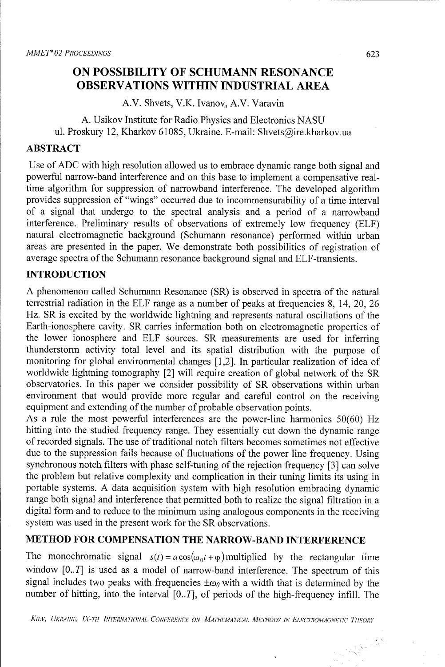#### **ON** POSSIBILITY OF **SCHUMANN RESONANCE OBSERVATIONS** WITHIN **INDUSTRIAL** AREA

A.V. Shvets, V.K. Ivanov, A.V. Varavin

A. Usikov Institute for Radio Physics and Electronics NASU ul. Proskury 12, Kharkov 61085, Ukraine. E-mail: Shvets@ire.kharkov.ua

#### ABSTRACT

Use of ADC with high resolution allowed us to embrace dynamic range both signal and powerful narrow-band interference and on this base to implement a compensative realtime algorithm for suppression of narrowband interference. The developed algorithm provides suppression of "wings" occurred due to incommensurability of a time interval of a signal that undergo to the spectral analysis and a period of a narrowband interference. Preliminary results of observations of extremely low frequency (ELF) natural electromagnetic background (Schumann resonance) performed within urban areas are presented in the paper. We demonstrate both possibilities of registration of average spectra of the Schumann resonance background signal and ELF-transients.

#### **INTRODUCTION**

A phenomenon called Schumann Resonance (SR) is observed in spectra of the natural terrestrial radiation in the ELF range as a number of peaks at frequencies 8, 14, 20, 26 Hz. SR is excited by the worldwide lightning and represents natural oscillations of the Earth-ionosphere cavity. SR carries information both on electromagnetic properties of the lower ionosphere and ELF sources. SR measurements are used for inferring thunderstorm activity total level and its spatial distribution with the purpose of monitoring for global environmental changes [1,2]. In particular realization of idea of worldwide lightning tomography [2] will require creation of global network of the SR observatories. In this paper we consider possibility of SR observations within urban environment that would provide more regular and careful control on the receiving equipment and extending of the number of probable observation points.

As a rule the most powerful interferences are the power-line harmonics 50(60) Hz hitting into the studied frequency range. They essentially cut down the dynamic range of recorded signals. The use of traditional notch filters becomes sometimes not effective due to the suppression fails because of fluctuations of the power line frequency. Using synchronous notch filters with phase self-tuning of the rejection frequency [3] can solve the problem but relative complexity and complication in their tuning limits its using in portable systems. A data acquisition system with high resolution embracing dynamic range both signal and interference that permitted both to realize the signal filtration in a digital form and to reduce to the minimum using analogous components in the receiving system was used in the present work for the SR observations.

#### METHOD FOR **COMPENSATION** THE NARROW-BAND **INTERFERENCE**

The monochromatic signal  $s(t) = a\cos(\omega_0 t + \varphi)$  multiplied by the rectangular time window  $[0..T]$  is used as a model of narrow-band interference. The spectrum of this signal includes two peaks with frequencies  $\pm \omega_0$  with a width that is determined by the number of hitting, into the interval [0..7], of periods of the high-frequency infill. The

KIEV, UKRAINE, IX-TH INTERNATIONAL CONFERENCE ON MATHEMATICAL METHODS IN ELECTROMAGNETIC THEORY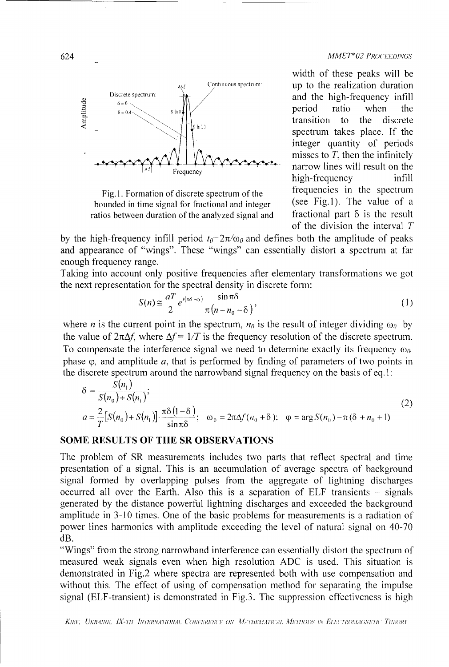



Fig.1. Formation of discrete spectrum of the frequencies in the spectrum<br>sunded in time signal for fractional and integer (see Fig.1). The value of a bounded in time signal for fractional and integer (see Fig.1). The value of a value of a basis between duration of the analyzed signal and fractional part  $\delta$  is the result ratios between duration of the analyzed signal and

width of these peaks will be Continuous spectrum: up to the realization duration spectrum takes place. If the integer quantity of periods misses to  $T$ , then the infinitely Frequency narrow lines will result on the high-frequency infill of the division the interval **7'**

by the high-frequency infill period  $t_0=2\pi/\omega_0$  and defines both the amplitude of peaks and appearance of "wings". These "wings" can essentially distort a spectrum at far enough frequency range.

Taking into account only positive frequencies after elementary transformations we got the next representation for the spectral density in discrete form:

$$
S(n) \approx \frac{aT}{2} e^{i(\pi \delta + \varphi)} \frac{\sin \pi \delta}{\pi (n - n_0 - \delta)},
$$
\n(1)

where *n* is the current point in the spectrum,  $n_0$  is the result of integer dividing  $\omega_0$  by the value of  $2\pi\Delta f$ , where  $\Delta f = 1/T$  is the frequency resolution of the discrete spectrum. To compensate the interference signal we need to determine exactly its frequency  $\omega_{\theta}$ . phase **9,** and amplitude a, that is performed by finding of parameters of two points in the discrete spectrum around the narrowband signal frequency on the basis of eq. 1:

$$
\delta = \frac{S(n_1)}{S(n_0) + S(n_1)};
$$
\n
$$
a = \frac{2}{T} [S(n_0) + S(n_1)] \cdot \frac{\pi \delta (1 - \delta)}{\sin \pi \delta}; \quad \omega_0 = 2\pi \Delta f(n_0 + \delta); \quad \varphi = \arg S(n_0) - \pi (\delta + n_0 + 1)
$$
\n(2)

#### **SOME RESULTS** OF THE SR **OBSERVATIONS**

The problem of SR measurements includes two parts that reflect spectral and time presentation of a signal. This is an accumulation of average spectra of background signal formed by overlapping pulses from the aggregate of lightning discharges occurred all over the Earth. Also this is a separation of ELF transients – signals generated by the distance powerful lightning discharges and exceeded the background amplitude in 3-10 times. One of the basic problems for measurements is a radiation of power lines harmonics with amplitude exceeding the level of natural signal on 40-70 dB.

"Wings" from the strong narrowband interference can essentially distort the spectrum of measured weak signals even when high resolution ADC is used. This situation is demonstrated in Fig.2 where spectra are represented both with use compensation and without this. The effect of using of compensation method for separating the impulse signal (ELF-transient) is demonstrated in Fig.3. The suppression effectiveness is high

*KIEV*, *UKRAINE, IX-TH INTERNATIONAL CONFERENCE ON MATHEMATICAL METHODS IN ELECTROMAGNETIC THEORY*